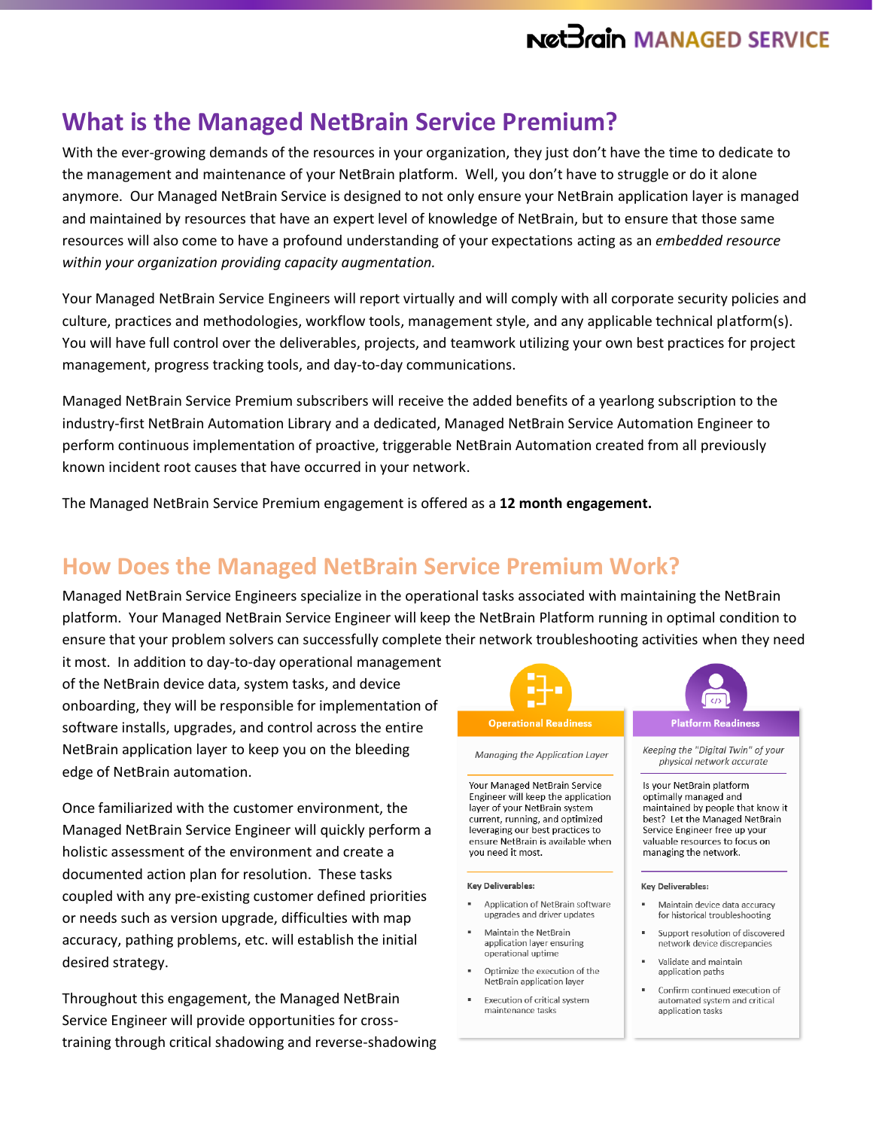## **What is the Managed NetBrain Service Premium?**

With the ever-growing demands of the resources in your organization, they just don't have the time to dedicate to the management and maintenance of your NetBrain platform. Well, you don't have to struggle or do it alone anymore. Our Managed NetBrain Service is designed to not only ensure your NetBrain application layer is managed and maintained by resources that have an expert level of knowledge of NetBrain, but to ensure that those same resources will also come to have a profound understanding of your expectations acting as an *embedded resource within your organization providing capacity augmentation.*

Your Managed NetBrain Service Engineers will report virtually and will comply with all corporate security policies and culture, practices and methodologies, workflow tools, management style, and any applicable technical platform(s). You will have full control over the deliverables, projects, and teamwork utilizing your own best practices for project management, progress tracking tools, and day-to-day communications.

Managed NetBrain Service Premium subscribers will receive the added benefits of a yearlong subscription to the industry-first NetBrain Automation Library and a dedicated, Managed NetBrain Service Automation Engineer to perform continuous implementation of proactive, triggerable NetBrain Automation created from all previously known incident root causes that have occurred in your network.

The Managed NetBrain Service Premium engagement is offered as a **12 month engagement.**

## **How Does the Managed NetBrain Service Premium Work?**

Managed NetBrain Service Engineers specialize in the operational tasks associated with maintaining the NetBrain platform. Your Managed NetBrain Service Engineer will keep the NetBrain Platform running in optimal condition to ensure that your problem solvers can successfully complete their network troubleshooting activities when they need

it most. In addition to day-to-day operational management of the NetBrain device data, system tasks, and device onboarding, they will be responsible for implementation of software installs, upgrades, and control across the entire NetBrain application layer to keep you on the bleeding edge of NetBrain automation.

Once familiarized with the customer environment, the Managed NetBrain Service Engineer will quickly perform a holistic assessment of the environment and create a documented action plan for resolution. These tasks coupled with any pre-existing customer defined priorities or needs such as version upgrade, difficulties with map accuracy, pathing problems, etc. will establish the initial desired strategy.

Throughout this engagement, the Managed NetBrain Service Engineer will provide opportunities for crosstraining through critical shadowing and reverse-shadowing



Managing the Application Layer

Your Managed NetBrain Service Engineer will keep the application laver of your NetBrain system current, running, and optimized leveraging our best practices to ensure NetBrain is available when vou need it most.

#### **Key Deliverables:**

- Application of NetBrain software upgrades and driver updates
- Maintain the NetBrain application laver ensuring operational uptime
- Optimize the execution of the NetBrain application layer
- Execution of critical system maintenance tasks



#### **Platform Readiness**

Keeping the "Digital Twin" of your physical network accurate

Is your NetBrain platform optimally managed and maintained by neonle that know it best? Let the Managed NetBrain Service Engineer free up your valuable resources to focus on managing the network.

#### **Key Deliverables:**

- Maintain device data accuracy for historical troubleshooting
- Support resolution of discovered network device discrepancies
- Validate and maintain application paths
- Confirm continued execution of automated system and critical application tasks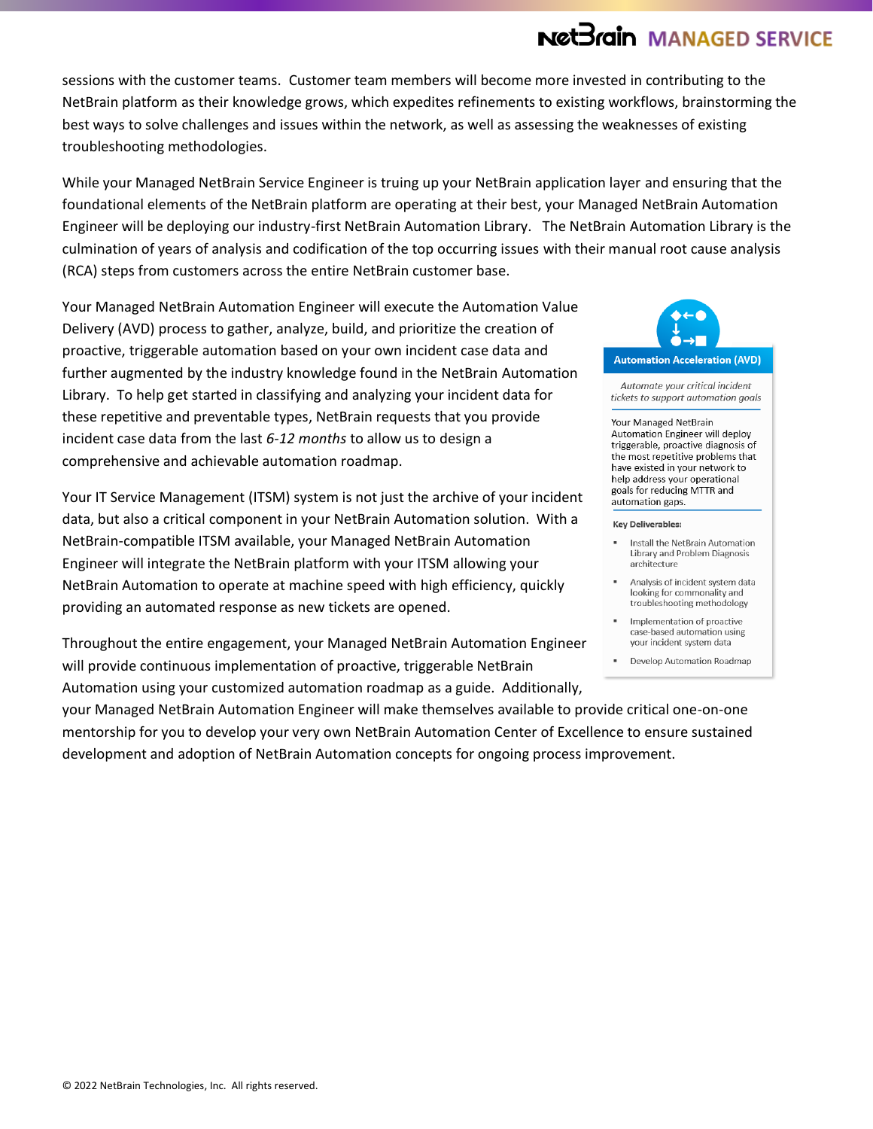sessions with the customer teams.Customer team members will become more invested in contributing to the NetBrain platform as their knowledge grows, which expedites refinements to existing workflows, brainstorming the best ways to solve challenges and issues within the network, as well as assessing the weaknesses of existing troubleshooting methodologies.

While your Managed NetBrain Service Engineer is truing up your NetBrain application layer and ensuring that the foundational elements of the NetBrain platform are operating at their best, your Managed NetBrain Automation Engineer will be deploying our industry-first NetBrain Automation Library. The NetBrain Automation Library is the culmination of years of analysis and codification of the top occurring issues with their manual root cause analysis (RCA) steps from customers across the entire NetBrain customer base.

Your Managed NetBrain Automation Engineer will execute the Automation Value Delivery (AVD) process to gather, analyze, build, and prioritize the creation of proactive, triggerable automation based on your own incident case data and further augmented by the industry knowledge found in the NetBrain Automation Library. To help get started in classifying and analyzing your incident data for these repetitive and preventable types, NetBrain requests that you provide incident case data from the last *6-12 months* to allow us to design a comprehensive and achievable automation roadmap.

Your IT Service Management (ITSM) system is not just the archive of your incident data, but also a critical component in your NetBrain Automation solution. With a NetBrain-compatible ITSM available, your Managed NetBrain Automation Engineer will integrate the NetBrain platform with your ITSM allowing your NetBrain Automation to operate at machine speed with high efficiency, quickly providing an automated response as new tickets are opened.

Throughout the entire engagement, your Managed NetBrain Automation Engineer will provide continuous implementation of proactive, triggerable NetBrain Automation using your customized automation roadmap as a guide. Additionally,





Automate vour critical incident tickets to support automation goals

### Your Managed NetBrain

Automation Engineer will deploy triggerable, proactive diagnosis of the most repetitive problems that have existed in your network to help address your operational goals for reducing MTTR and automation gaps.

#### **Kev Deliverables:**

- Install the NetBrain Automation Library and Problem Diagnosis architecture
- Analysis of incident system data looking for commonality and troubleshooting methodology
- Implementation of proactive case-based automation using your incident system data
- " Develop Automation Roadmap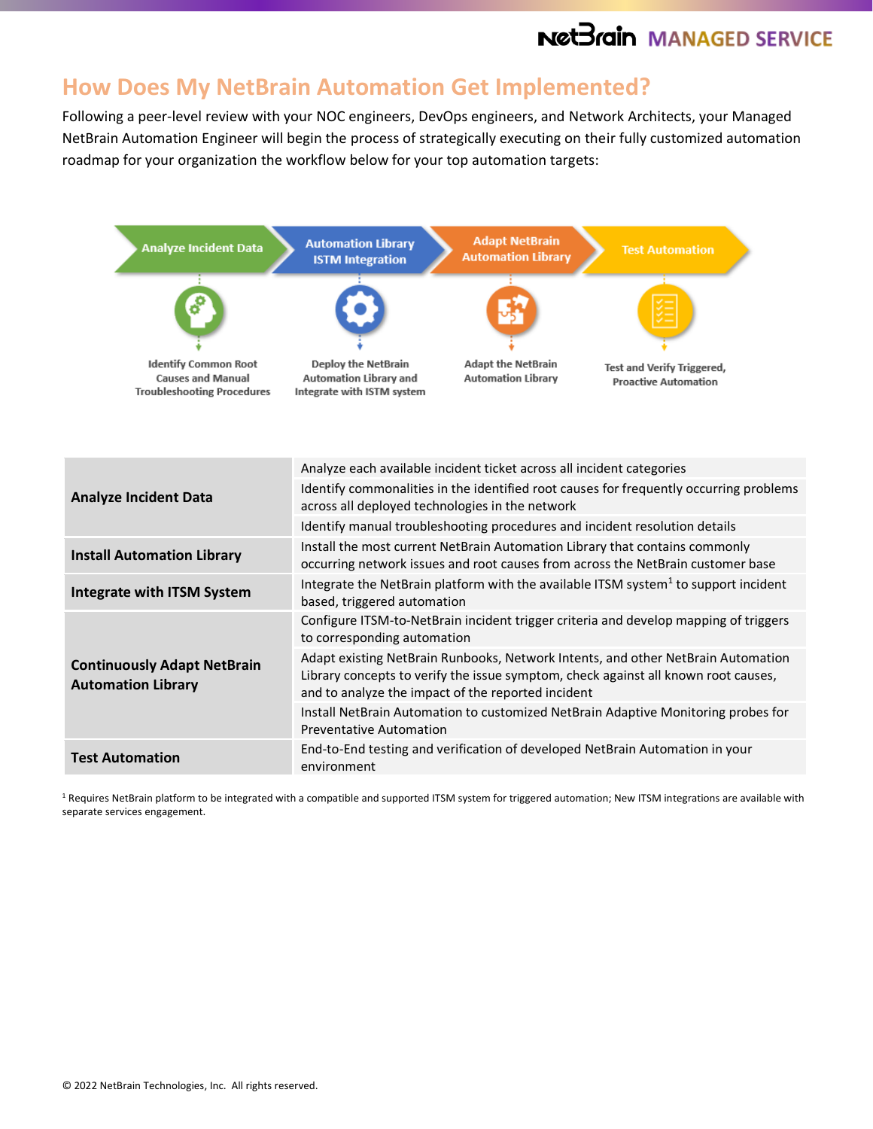## **How Does My NetBrain Automation Get Implemented?**

Following a peer-level review with your NOC engineers, DevOps engineers, and Network Architects, your Managed NetBrain Automation Engineer will begin the process of strategically executing on their fully customized automation roadmap for your organization the workflow below for your top automation targets:



 $1$  Requires NetBrain platform to be integrated with a compatible and supported ITSM system for triggered automation; New ITSM integrations are available with separate services engagement.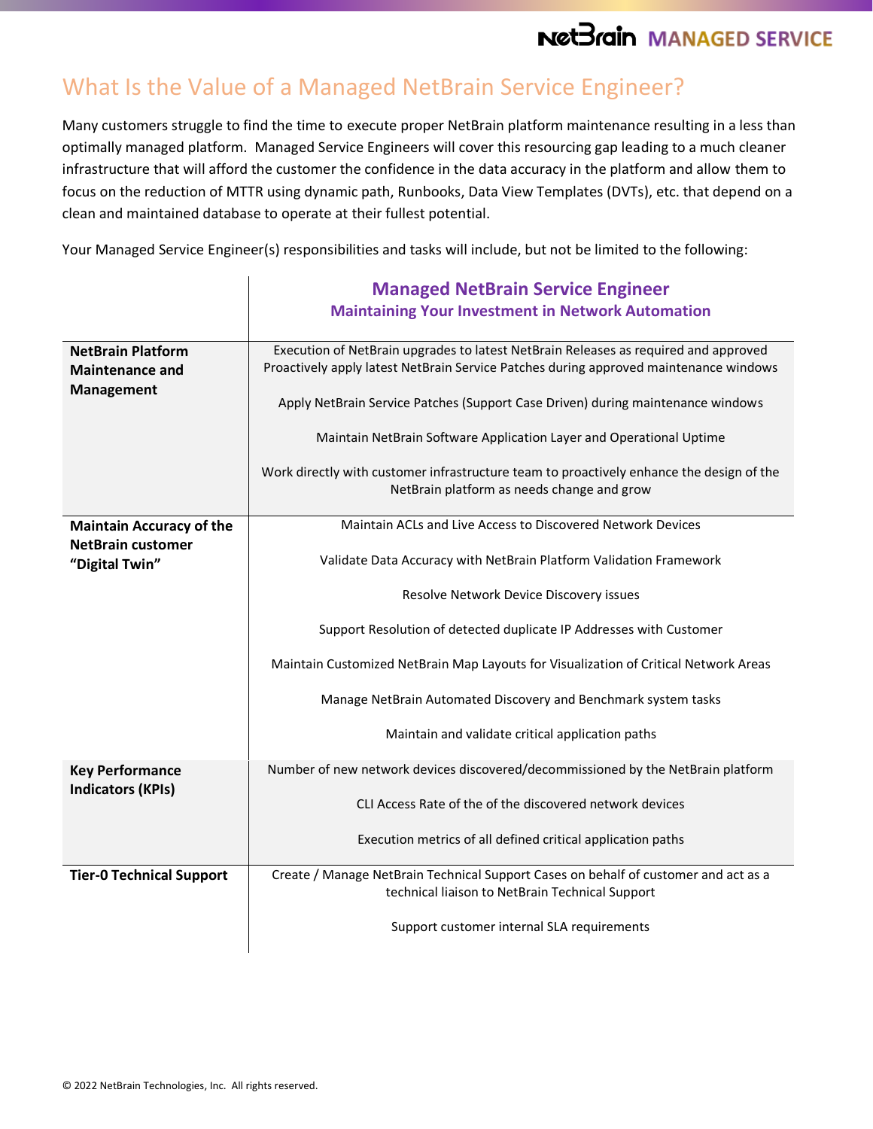## What Is the Value of a Managed NetBrain Service Engineer?

Many customers struggle to find the time to execute proper NetBrain platform maintenance resulting in a less than optimally managed platform. Managed Service Engineers will cover this resourcing gap leading to a much cleaner infrastructure that will afford the customer the confidence in the data accuracy in the platform and allow them to focus on the reduction of MTTR using dynamic path, Runbooks, Data View Templates (DVTs), etc. that depend on a clean and maintained database to operate at their fullest potential.

Your Managed Service Engineer(s) responsibilities and tasks will include, but not be limited to the following:

|                                                                               | <b>Managed NetBrain Service Engineer</b>                                                                                                                                     |
|-------------------------------------------------------------------------------|------------------------------------------------------------------------------------------------------------------------------------------------------------------------------|
|                                                                               | <b>Maintaining Your Investment in Network Automation</b>                                                                                                                     |
| <b>NetBrain Platform</b><br><b>Maintenance and</b><br><b>Management</b>       | Execution of NetBrain upgrades to latest NetBrain Releases as required and approved<br>Proactively apply latest NetBrain Service Patches during approved maintenance windows |
|                                                                               | Apply NetBrain Service Patches (Support Case Driven) during maintenance windows                                                                                              |
|                                                                               | Maintain NetBrain Software Application Layer and Operational Uptime                                                                                                          |
|                                                                               | Work directly with customer infrastructure team to proactively enhance the design of the<br>NetBrain platform as needs change and grow                                       |
| <b>Maintain Accuracy of the</b><br><b>NetBrain customer</b><br>"Digital Twin" | Maintain ACLs and Live Access to Discovered Network Devices                                                                                                                  |
|                                                                               | Validate Data Accuracy with NetBrain Platform Validation Framework                                                                                                           |
|                                                                               | Resolve Network Device Discovery issues                                                                                                                                      |
|                                                                               | Support Resolution of detected duplicate IP Addresses with Customer                                                                                                          |
|                                                                               | Maintain Customized NetBrain Map Layouts for Visualization of Critical Network Areas                                                                                         |
|                                                                               | Manage NetBrain Automated Discovery and Benchmark system tasks                                                                                                               |
|                                                                               | Maintain and validate critical application paths                                                                                                                             |
| <b>Key Performance</b><br><b>Indicators (KPIs)</b>                            | Number of new network devices discovered/decommissioned by the NetBrain platform                                                                                             |
|                                                                               | CLI Access Rate of the of the discovered network devices                                                                                                                     |
|                                                                               | Execution metrics of all defined critical application paths                                                                                                                  |
| <b>Tier-0 Technical Support</b>                                               | Create / Manage NetBrain Technical Support Cases on behalf of customer and act as a<br>technical liaison to NetBrain Technical Support                                       |
|                                                                               | Support customer internal SLA requirements                                                                                                                                   |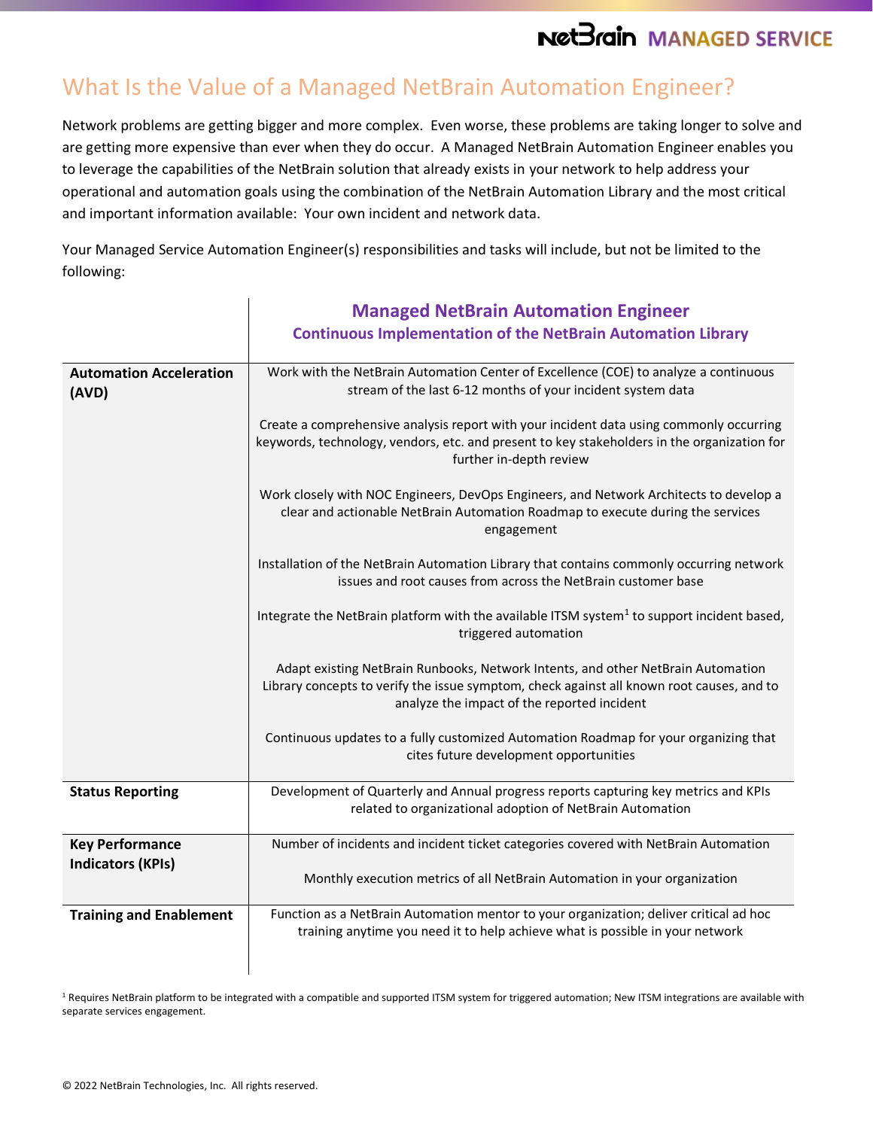# What Is the Value of a Managed NetBrain Automation Engineer?

Network problems are getting bigger and more complex. Even worse, these problems are taking longer to solve and are getting more expensive than ever when they do occur. A Managed NetBrain Automation Engineer enables you to leverage the capabilities of the NetBrain solution that already exists in your network to help address your operational and automation goals using the combination of the NetBrain Automation Library and the most critical and important information available: Your own incident and network data.

Your Managed Service Automation Engineer(s) responsibilities and tasks will include, but not be limited to the following:

|                                         | <b>Managed NetBrain Automation Engineer</b><br><b>Continuous Implementation of the NetBrain Automation Library</b>                                                                                                           |
|-----------------------------------------|------------------------------------------------------------------------------------------------------------------------------------------------------------------------------------------------------------------------------|
| <b>Automation Acceleration</b><br>(AVD) | Work with the NetBrain Automation Center of Excellence (COE) to analyze a continuous<br>stream of the last 6-12 months of your incident system data                                                                          |
|                                         | Create a comprehensive analysis report with your incident data using commonly occurring<br>keywords, technology, vendors, etc. and present to key stakeholders in the organization for<br>further in-depth review            |
|                                         | Work closely with NOC Engineers, DevOps Engineers, and Network Architects to develop a<br>clear and actionable NetBrain Automation Roadmap to execute during the services<br>engagement                                      |
|                                         | Installation of the NetBrain Automation Library that contains commonly occurring network<br>issues and root causes from across the NetBrain customer base                                                                    |
|                                         | Integrate the NetBrain platform with the available ITSM system <sup>1</sup> to support incident based,<br>triggered automation                                                                                               |
|                                         | Adapt existing NetBrain Runbooks, Network Intents, and other NetBrain Automation<br>Library concepts to verify the issue symptom, check against all known root causes, and to<br>analyze the impact of the reported incident |
|                                         | Continuous updates to a fully customized Automation Roadmap for your organizing that<br>cites future development opportunities                                                                                               |
| <b>Status Reporting</b>                 | Development of Quarterly and Annual progress reports capturing key metrics and KPIs<br>related to organizational adoption of NetBrain Automation                                                                             |
| <b>Key Performance</b>                  | Number of incidents and incident ticket categories covered with NetBrain Automation                                                                                                                                          |
| <b>Indicators (KPIs)</b>                | Monthly execution metrics of all NetBrain Automation in your organization                                                                                                                                                    |
| <b>Training and Enablement</b>          | Function as a NetBrain Automation mentor to your organization; deliver critical ad hoc<br>training anytime you need it to help achieve what is possible in your network                                                      |

<sup>1</sup> Requires NetBrain platform to be integrated with a compatible and supported ITSM system for triggered automation; New ITSM integrations are available with separate services engagement.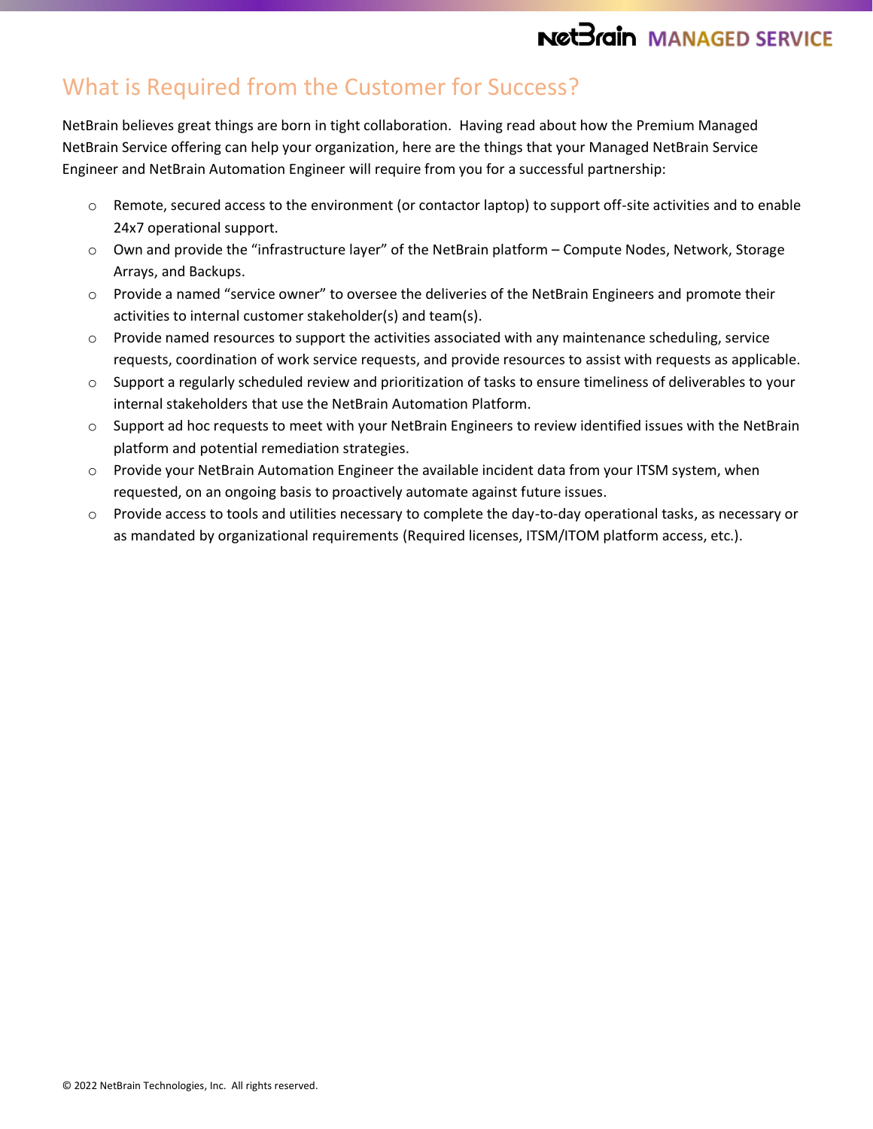## What is Required from the Customer for Success?

NetBrain believes great things are born in tight collaboration. Having read about how the Premium Managed NetBrain Service offering can help your organization, here are the things that your Managed NetBrain Service Engineer and NetBrain Automation Engineer will require from you for a successful partnership:

- Remote, secured access to the environment (or contactor laptop) to support off-site activities and to enable 24x7 operational support.
- o Own and provide the "infrastructure layer" of the NetBrain platform Compute Nodes, Network, Storage Arrays, and Backups.
- o Provide a named "service owner" to oversee the deliveries of the NetBrain Engineers and promote their activities to internal customer stakeholder(s) and team(s).
- $\circ$  Provide named resources to support the activities associated with any maintenance scheduling, service requests, coordination of work service requests, and provide resources to assist with requests as applicable.
- o Support a regularly scheduled review and prioritization of tasks to ensure timeliness of deliverables to your internal stakeholders that use the NetBrain Automation Platform.
- $\circ$  Support ad hoc requests to meet with your NetBrain Engineers to review identified issues with the NetBrain platform and potential remediation strategies.
- o Provide your NetBrain Automation Engineer the available incident data from your ITSM system, when requested, on an ongoing basis to proactively automate against future issues.
- o Provide access to tools and utilities necessary to complete the day-to-day operational tasks, as necessary or as mandated by organizational requirements (Required licenses, ITSM/ITOM platform access, etc.).